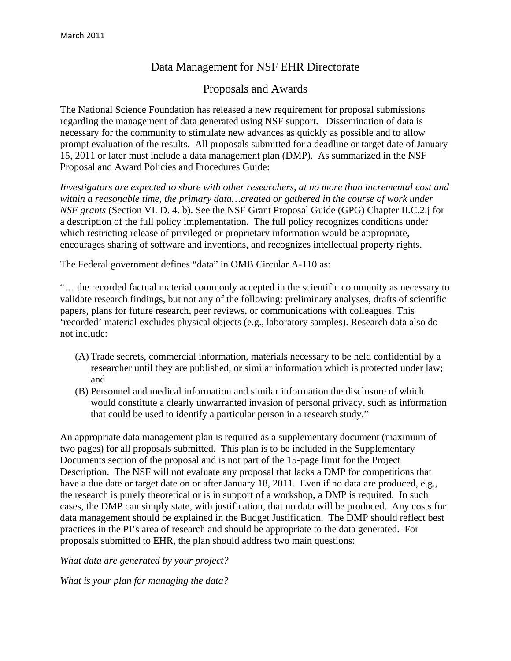# Data Management for NSF EHR Directorate

## Proposals and Awards

The National Science Foundation has released a new requirement for proposal submissions regarding the management of data generated using NSF support. Dissemination of data is necessary for the community to stimulate new advances as quickly as possible and to allow prompt evaluation of the results. All proposals submitted for a deadline or target date of January 15, 2011 or later must include a data management plan (DMP). As summarized in the NSF Proposal and Award Policies and Procedures Guide:

*Investigators are expected to share with other researchers, at no more than incremental cost and within a reasonable time, the primary data…created or gathered in the course of work under NSF grants* (Section VI. D. 4. b). See the NSF Grant Proposal Guide (GPG) Chapter II.C.2.j for a description of the full policy implementation. The full policy recognizes conditions under which restricting release of privileged or proprietary information would be appropriate, encourages sharing of software and inventions, and recognizes intellectual property rights.

The Federal government defines "data" in OMB Circular A-110 as:

"… the recorded factual material commonly accepted in the scientific community as necessary to validate research findings, but not any of the following: preliminary analyses, drafts of scientific papers, plans for future research, peer reviews, or communications with colleagues. This 'recorded' material excludes physical objects (e.g., laboratory samples). Research data also do not include:

- (A) Trade secrets, commercial information, materials necessary to be held confidential by a researcher until they are published, or similar information which is protected under law; and
- (B) Personnel and medical information and similar information the disclosure of which would constitute a clearly unwarranted invasion of personal privacy, such as information that could be used to identify a particular person in a research study."

An appropriate data management plan is required as a supplementary document (maximum of two pages) for all proposals submitted. This plan is to be included in the Supplementary Documents section of the proposal and is not part of the 15-page limit for the Project Description. The NSF will not evaluate any proposal that lacks a DMP for competitions that have a due date or target date on or after January 18, 2011. Even if no data are produced, e.g., the research is purely theoretical or is in support of a workshop, a DMP is required. In such cases, the DMP can simply state, with justification, that no data will be produced. Any costs for data management should be explained in the Budget Justification. The DMP should reflect best practices in the PI's area of research and should be appropriate to the data generated. For proposals submitted to EHR, the plan should address two main questions:

*What data are generated by your project?* 

*What is your plan for managing the data?*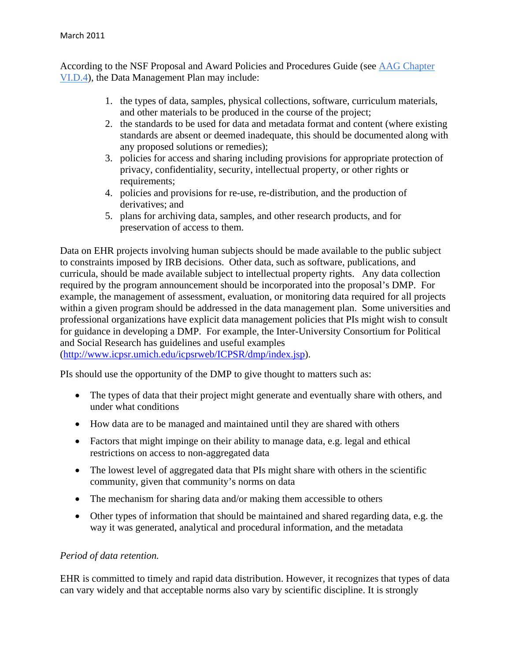According to the NSF Proposal and Award Policies and Procedures Guide (see AAG Chapter VI.D.4), the Data Management Plan may include:

- 1. the types of data, samples, physical collections, software, curriculum materials, and other materials to be produced in the course of the project;
- 2. the standards to be used for data and metadata format and content (where existing standards are absent or deemed inadequate, this should be documented along with any proposed solutions or remedies);
- 3. policies for access and sharing including provisions for appropriate protection of privacy, confidentiality, security, intellectual property, or other rights or requirements;
- 4. policies and provisions for re-use, re-distribution, and the production of derivatives; and
- 5. plans for archiving data, samples, and other research products, and for preservation of access to them.

Data on EHR projects involving human subjects should be made available to the public subject to constraints imposed by IRB decisions. Other data, such as software, publications, and curricula, should be made available subject to intellectual property rights. Any data collection required by the program announcement should be incorporated into the proposal's DMP. For example, the management of assessment, evaluation, or monitoring data required for all projects within a given program should be addressed in the data management plan. Some universities and professional organizations have explicit data management policies that PIs might wish to consult for guidance in developing a DMP. For example, the Inter-University Consortium for Political and Social Research has guidelines and useful examples

(http://www.icpsr.umich.edu/icpsrweb/ICPSR/dmp/index.jsp).

PIs should use the opportunity of the DMP to give thought to matters such as:

- The types of data that their project might generate and eventually share with others, and under what conditions
- How data are to be managed and maintained until they are shared with others
- Factors that might impinge on their ability to manage data, e.g. legal and ethical restrictions on access to non-aggregated data
- The lowest level of aggregated data that PIs might share with others in the scientific community, given that community's norms on data
- The mechanism for sharing data and/or making them accessible to others
- Other types of information that should be maintained and shared regarding data, e.g. the way it was generated, analytical and procedural information, and the metadata

### *Period of data retention.*

EHR is committed to timely and rapid data distribution. However, it recognizes that types of data can vary widely and that acceptable norms also vary by scientific discipline. It is strongly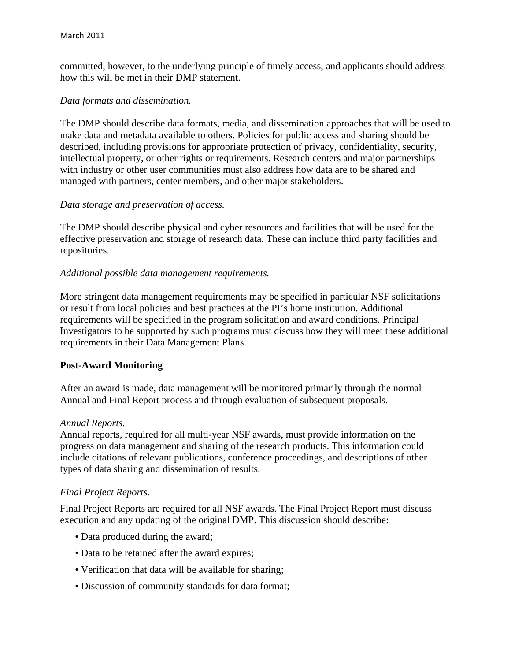committed, however, to the underlying principle of timely access, and applicants should address how this will be met in their DMP statement.

#### *Data formats and dissemination.*

The DMP should describe data formats, media, and dissemination approaches that will be used to make data and metadata available to others. Policies for public access and sharing should be described, including provisions for appropriate protection of privacy, confidentiality, security, intellectual property, or other rights or requirements. Research centers and major partnerships with industry or other user communities must also address how data are to be shared and managed with partners, center members, and other major stakeholders.

#### *Data storage and preservation of access.*

The DMP should describe physical and cyber resources and facilities that will be used for the effective preservation and storage of research data. These can include third party facilities and repositories.

#### *Additional possible data management requirements.*

More stringent data management requirements may be specified in particular NSF solicitations or result from local policies and best practices at the PI's home institution. Additional requirements will be specified in the program solicitation and award conditions. Principal Investigators to be supported by such programs must discuss how they will meet these additional requirements in their Data Management Plans.

#### **Post-Award Monitoring**

After an award is made, data management will be monitored primarily through the normal Annual and Final Report process and through evaluation of subsequent proposals.

#### *Annual Reports.*

Annual reports, required for all multi-year NSF awards, must provide information on the progress on data management and sharing of the research products. This information could include citations of relevant publications, conference proceedings, and descriptions of other types of data sharing and dissemination of results.

#### *Final Project Reports.*

Final Project Reports are required for all NSF awards. The Final Project Report must discuss execution and any updating of the original DMP. This discussion should describe:

- Data produced during the award;
- Data to be retained after the award expires;
- Verification that data will be available for sharing;
- Discussion of community standards for data format;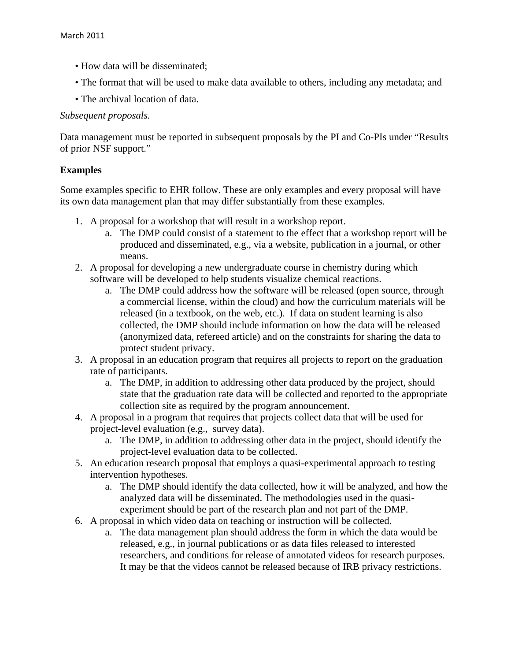- How data will be disseminated;
- The format that will be used to make data available to others, including any metadata; and
- The archival location of data.

### *Subsequent proposals.*

Data management must be reported in subsequent proposals by the PI and Co-PIs under "Results of prior NSF support."

## **Examples**

Some examples specific to EHR follow. These are only examples and every proposal will have its own data management plan that may differ substantially from these examples.

- 1. A proposal for a workshop that will result in a workshop report.
	- a. The DMP could consist of a statement to the effect that a workshop report will be produced and disseminated, e.g., via a website, publication in a journal, or other means.
- 2. A proposal for developing a new undergraduate course in chemistry during which software will be developed to help students visualize chemical reactions.
	- a. The DMP could address how the software will be released (open source, through a commercial license, within the cloud) and how the curriculum materials will be released (in a textbook, on the web, etc.). If data on student learning is also collected, the DMP should include information on how the data will be released (anonymized data, refereed article) and on the constraints for sharing the data to protect student privacy.
- 3. A proposal in an education program that requires all projects to report on the graduation rate of participants.
	- a. The DMP, in addition to addressing other data produced by the project, should state that the graduation rate data will be collected and reported to the appropriate collection site as required by the program announcement.
- 4. A proposal in a program that requires that projects collect data that will be used for project-level evaluation (e.g., survey data).
	- a. The DMP, in addition to addressing other data in the project, should identify the project-level evaluation data to be collected.
- 5. An education research proposal that employs a quasi-experimental approach to testing intervention hypotheses.
	- a. The DMP should identify the data collected, how it will be analyzed, and how the analyzed data will be disseminated. The methodologies used in the quasiexperiment should be part of the research plan and not part of the DMP.
- 6. A proposal in which video data on teaching or instruction will be collected.
	- a. The data management plan should address the form in which the data would be released, e.g., in journal publications or as data files released to interested researchers, and conditions for release of annotated videos for research purposes. It may be that the videos cannot be released because of IRB privacy restrictions.